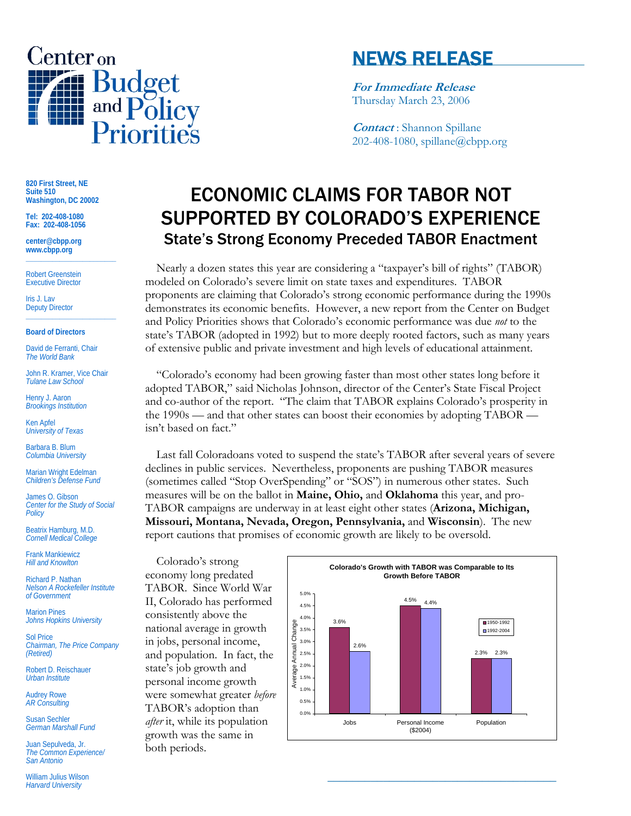

## NEWS RELEASE

**For Immediate Release** Thursday March 23, 2006

**Contact** : Shannon Spillane 202-408-1080, spillane@cbpp.org

**820 First Street, NE Suite 510 Washington, DC 20002** 

**Tel: 202-408-1080 Fax: 202-408-1056** 

**center@cbpp.org www.cbpp.org \_\_\_\_\_\_\_\_\_\_\_\_\_\_\_\_\_\_\_\_\_\_\_\_** 

Robert Greenstein Executive Director

Iris J. Lav Deputy Director

## **Board of Directors**

David de Ferranti, Chair *The World Bank* 

John R. Kramer, Vice Chair *Tulane Law School* 

**\_\_\_\_\_\_\_\_\_\_\_\_\_\_\_\_\_\_\_\_\_\_\_\_** 

Henry J. Aaron *Brookings Institution* 

Ken Apfel *University of Texas* 

Barbara B. Blum *Columbia University* 

Marian Wright Edelman *Children's Defense Fund* 

James O. Gibson *Center for the Study of Social Policy* 

Beatrix Hamburg, M.D. *Cornell Medical College* 

Frank Mankiewicz *Hill and Knowlton* 

Richard P. Nathan *Nelson A Rockefeller Institute of Government* 

Marion Pines *Johns Hopkins University* 

Sol Price *Chairman, The Price Company (Retired)* 

Robert D. Reischauer *Urban Institute* 

Audrey Rowe *AR Consulting* 

Susan Sechler *German Marshall Fund* 

Juan Sepulveda, Jr. *The Common Experience/ San Antonio* 

William Julius Wilson *Harvard University*

## ECONOMIC CLAIMS FOR TABOR NOT SUPPORTED BY COLORADO'S EXPERIENCE State's Strong Economy Preceded TABOR Enactment

 Nearly a dozen states this year are considering a "taxpayer's bill of rights" (TABOR) modeled on Colorado's severe limit on state taxes and expenditures. TABOR proponents are claiming that Colorado's strong economic performance during the 1990s demonstrates its economic benefits. However, a new report from the Center on Budget and Policy Priorities shows that Colorado's economic performance was due *not* to the state's TABOR (adopted in 1992) but to more deeply rooted factors, such as many years of extensive public and private investment and high levels of educational attainment.

 "Colorado's economy had been growing faster than most other states long before it adopted TABOR," said Nicholas Johnson, director of the Center's State Fiscal Project and co-author of the report. "The claim that TABOR explains Colorado's prosperity in the 1990s — and that other states can boost their economies by adopting TABOR isn't based on fact."

Last fall Coloradoans voted to suspend the state's TABOR after several years of severe declines in public services. Nevertheless, proponents are pushing TABOR measures (sometimes called "Stop OverSpending" or "SOS") in numerous other states. Such measures will be on the ballot in **Maine, Ohio,** and **Oklahoma** this year, and pro-TABOR campaigns are underway in at least eight other states (**Arizona, Michigan, Missouri, Montana, Nevada, Oregon, Pennsylvania,** and **Wisconsin**). The new report cautions that promises of economic growth are likely to be oversold.

 Colorado's strong economy long predated TABOR. Since World War II, Colorado has performed consistently above the national average in growth in jobs, personal income, and population. In fact, the state's job growth and personal income growth were somewhat greater *before* TABOR's adoption than *after* it, while its population growth was the same in both periods.



**\_\_\_\_\_\_\_\_\_\_\_\_\_\_\_\_\_\_\_\_\_\_\_\_\_\_\_\_\_\_\_\_\_\_\_\_\_**